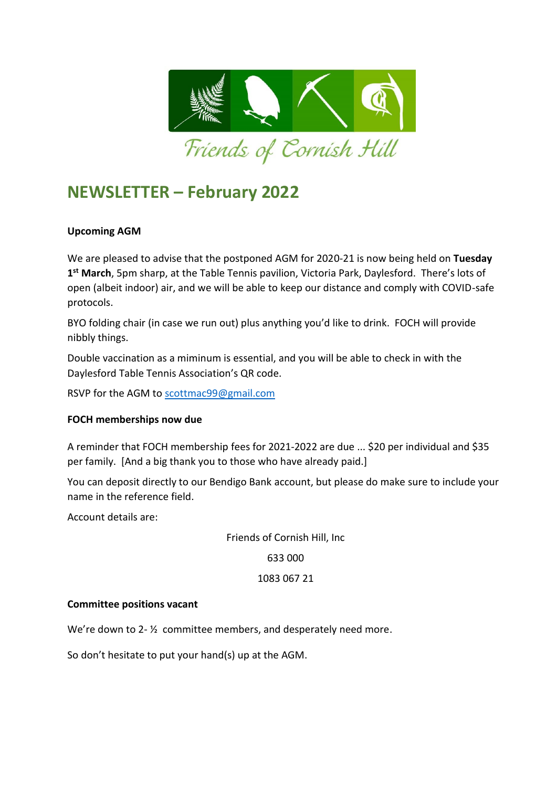

# **NEWSLETTER – February 2022**

## **Upcoming AGM**

We are pleased to advise that the postponed AGM for 2020-21 is now being held on **Tuesday 1 st March**, 5pm sharp, at the Table Tennis pavilion, Victoria Park, Daylesford. There's lots of open (albeit indoor) air, and we will be able to keep our distance and comply with COVID-safe protocols.

BYO folding chair (in case we run out) plus anything you'd like to drink. FOCH will provide nibbly things.

Double vaccination as a miminum is essential, and you will be able to check in with the Daylesford Table Tennis Association's QR code.

RSVP for the AGM to [scottmac99@gmail.com](mailto:scottmac99@gmail.com)

### **FOCH memberships now due**

A reminder that FOCH membership fees for 2021-2022 are due ... \$20 per individual and \$35 per family. [And a big thank you to those who have already paid.]

You can deposit directly to our Bendigo Bank account, but please do make sure to include your name in the reference field.

Account details are:

Friends of Cornish Hill, Inc

633 000

#### 1083 067 21

#### **Committee positions vacant**

We're down to 2- ½ committee members, and desperately need more.

So don't hesitate to put your hand(s) up at the AGM.